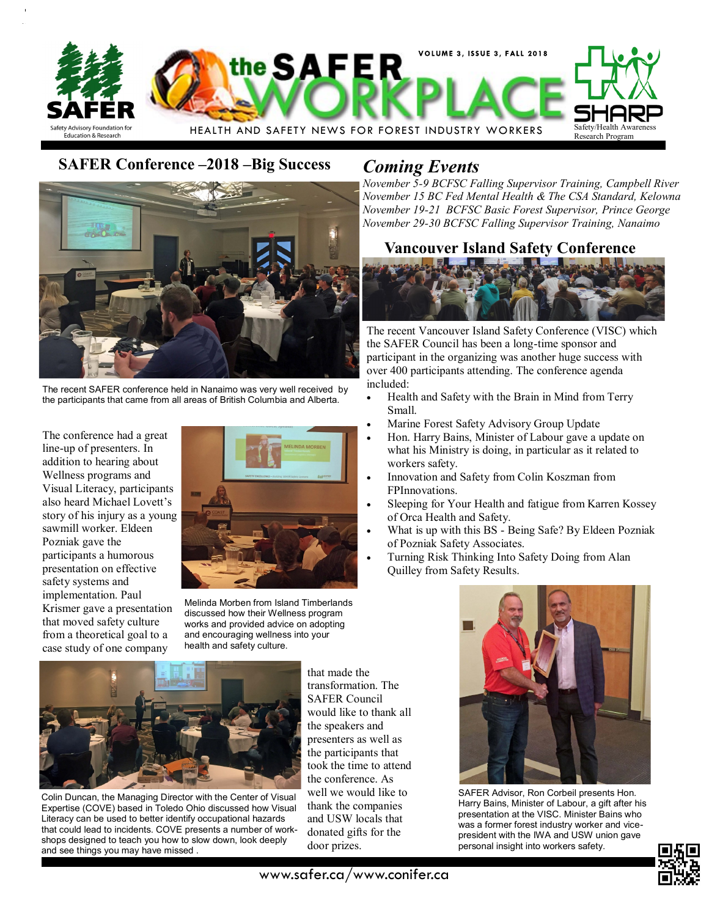

# **SAFER Conference –2018 –Big Success** *Coming Events*



The recent SAFER conference held in Nanaimo was very well received by the participants that came from all areas of British Columbia and Alberta.

The conference had a great line-up of presenters. In addition to hearing about Wellness programs and Visual Literacy, participants also heard Michael Lovett's story of his injury as a young sawmill worker. Eldeen Pozniak gave the participants a humorous presentation on effective safety systems and implementation. Paul Krismer gave a presentation that moved safety culture from a theoretical goal to a case study of one company



Melinda Morben from Island Timberlands discussed how their Wellness program works and provided advice on adopting and encouraging wellness into your health and safety culture.



Colin Duncan, the Managing Director with the Center of Visual Expertise (COVE) based in Toledo Ohio discussed how Visual Literacy can be used to better identify occupational hazards that could lead to incidents. COVE presents a number of workshops designed to teach you how to slow down, look deeply and see things you may have missed .

that made the transformation. The SAFER Council would like to thank all the speakers and presenters as well as the participants that took the time to attend the conference. As well we would like to thank the companies and USW locals that donated gifts for the door prizes.

*November 5-9 BCFSC Falling Supervisor Training, Campbell River November 15 BC Fed Mental Health & The CSA Standard, Kelowna November 19-21 BCFSC Basic Forest Supervisor, Prince George November 29-30 BCFSC Falling Supervisor Training, Nanaimo*

## **Vancouver Island Safety Conference**



The recent Vancouver Island Safety Conference (VISC) which the SAFER Council has been a long-time sponsor and participant in the organizing was another huge success with over 400 participants attending. The conference agenda included:

- Health and Safety with the Brain in Mind from Terry Small.
- Marine Forest Safety Advisory Group Update
- Hon. Harry Bains, Minister of Labour gave a update on what his Ministry is doing, in particular as it related to workers safety.
- Innovation and Safety from Colin Koszman from FPInnovations.
- Sleeping for Your Health and fatigue from Karren Kossey of Orca Health and Safety.
- What is up with this BS Being Safe? By Eldeen Pozniak of Pozniak Safety Associates.
- Turning Risk Thinking Into Safety Doing from Alan Quilley from Safety Results.



SAFER Advisor, Ron Corbeil presents Hon. Harry Bains, Minister of Labour, a gift after his presentation at the VISC. Minister Bains who was a former forest industry worker and vicepresident with the IWA and USW union gave personal insight into workers safety.



www.safer.ca/www.conifer.ca